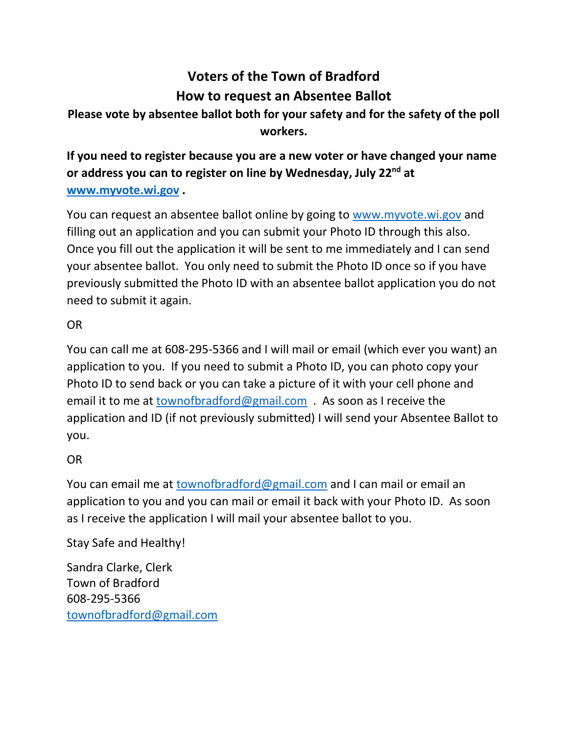## **Voters of the Town of Bradford How to request an Absentee Ballot**

## **Please vote by absentee ballot both for your safety and for the safety of the poll workers.**

**If you need to register because you are a new voter or have changed your name or address you can to register on line by Wednesday, July 22nd at [www.myvote.wi.gov](http://www.myvote.wi.gov/) .** 

You can request an absentee ballot online by going to [www.myvote.wi.gov](http://www.myvote.wi.gov/) and filling out an application and you can submit your Photo ID through this also. Once you fill out the application it will be sent to me immediately and I can send your absentee ballot. You only need to submit the Photo ID once so if you have previously submitted the Photo ID with an absentee ballot application you do not need to submit it again.

## OR

You can call me at 608-295-5366 and I will mail or email (which ever you want) an application to you. If you need to submit a Photo ID, you can photo copy your Photo ID to send back or you can take a picture of it with your cell phone and email it to me at [townofbradford@gmail.com](mailto:townofbradford@gmail.com) . As soon as I receive the application and ID (if not previously submitted) I will send your Absentee Ballot to you.

## OR

You can email me at [townofbradford@gmail.com](mailto:townofbradford@gmail.com) and I can mail or email an application to you and you can mail or email it back with your Photo ID. As soon as I receive the application I will mail your absentee ballot to you.

Stay Safe and Healthy!

Sandra Clarke, Clerk Town of Bradford 608-295-5366 [townofbradford@gmail.com](mailto:townofbradford@gmail.com)